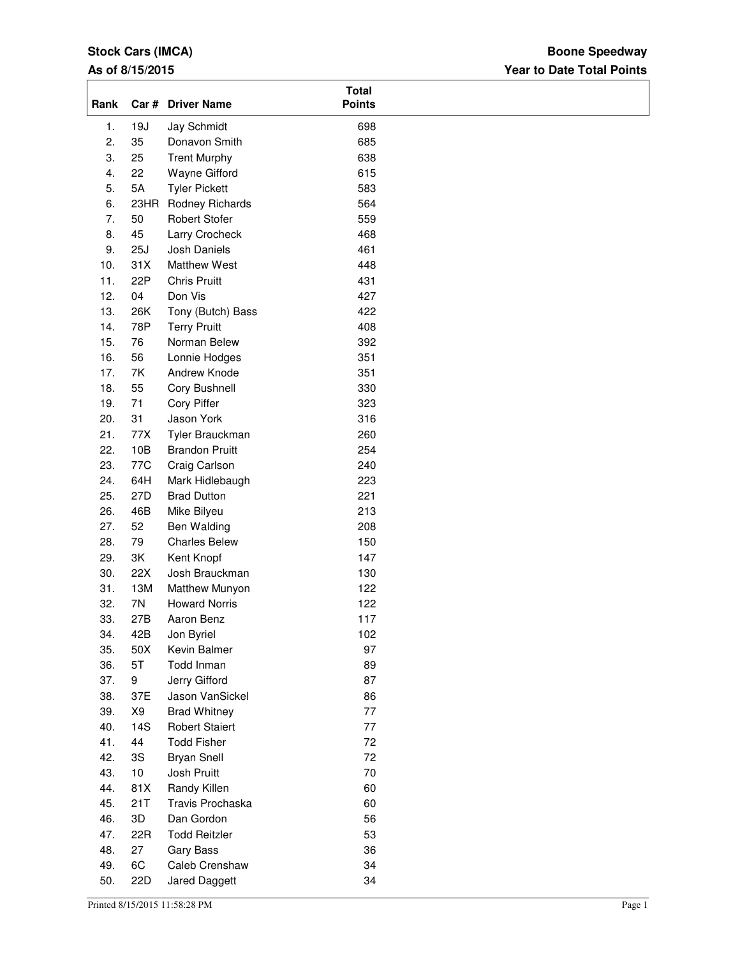# **Stock Cars (IMCA)**

## **As of 8/15/2015**

## **Year to Date Total Points Boone Speedway**

| Rank |           | Car # Driver Name     | <b>Total</b><br><b>Points</b> |
|------|-----------|-----------------------|-------------------------------|
| 1.   | 19J       | Jay Schmidt           | 698                           |
| 2.   | 35        | Donavon Smith         | 685                           |
| 3.   | 25        | <b>Trent Murphy</b>   | 638                           |
| 4.   | 22        | Wayne Gifford         | 615                           |
| 5.   | <b>5A</b> | <b>Tyler Pickett</b>  | 583                           |
| 6.   | 23HR      | Rodney Richards       | 564                           |
| 7.   | 50        | <b>Robert Stofer</b>  | 559                           |
| 8.   | 45        | Larry Crocheck        | 468                           |
| 9.   | 25J       | Josh Daniels          | 461                           |
| 10.  | 31X       | Matthew West          | 448                           |
| 11.  | 22P       | <b>Chris Pruitt</b>   | 431                           |
| 12.  | 04        | Don Vis               | 427                           |
|      |           |                       |                               |
| 13.  | 26K       | Tony (Butch) Bass     | 422                           |
| 14.  | 78P       | <b>Terry Pruitt</b>   | 408                           |
| 15.  | 76        | Norman Belew          | 392                           |
| 16.  | 56        | Lonnie Hodges         | 351                           |
| 17.  | <b>7K</b> | Andrew Knode          | 351                           |
| 18.  | 55        | Cory Bushnell         | 330                           |
| 19.  | 71        | Cory Piffer           | 323                           |
| 20.  | 31        | Jason York            | 316                           |
| 21.  | 77X       | Tyler Brauckman       | 260                           |
| 22.  | 10B       | <b>Brandon Pruitt</b> | 254                           |
| 23.  | 77C       | Craig Carlson         | 240                           |
| 24.  | 64H       | Mark Hidlebaugh       | 223                           |
| 25.  | 27D       | <b>Brad Dutton</b>    | 221                           |
| 26.  | 46B       | Mike Bilyeu           | 213                           |
| 27.  | 52        | Ben Walding           | 208                           |
| 28.  | 79        | <b>Charles Belew</b>  | 150                           |
| 29.  | 3K        | Kent Knopf            | 147                           |
| 30.  | 22X       | Josh Brauckman        | 130                           |
| 31.  | 13M       | Matthew Munyon        | 122                           |
| 32.  | 7N        | <b>Howard Norris</b>  | 122                           |
| 33.  | 27B       | Aaron Benz            | 117                           |
| 34.  | 42B       | Jon Byriel            | 102                           |
| 35.  | 50X       | Kevin Balmer          | 97                            |
| 36.  | 5T        | Todd Inman            | 89                            |
| 37.  | 9         | Jerry Gifford         | 87                            |
| 38.  | 37E       | Jason VanSickel       | 86                            |
| 39.  | X9        | <b>Brad Whitney</b>   | 77                            |
| 40.  | 14S       | <b>Robert Staiert</b> | 77                            |
| 41.  | 44        | <b>Todd Fisher</b>    | 72                            |
| 42.  | 3S        |                       | 72                            |
|      |           | <b>Bryan Snell</b>    |                               |
| 43.  | 10        | Josh Pruitt           | $70\,$                        |
| 44.  | 81X       | Randy Killen          | 60                            |
| 45.  | 21T       | Travis Prochaska      | 60                            |
| 46.  | 3D        | Dan Gordon            | 56                            |
| 47.  | 22R       | <b>Todd Reitzler</b>  | 53                            |
| 48.  | 27        | Gary Bass             | 36                            |
| 49.  | 6C        | Caleb Crenshaw        | 34                            |
| 50.  | 22D       | Jared Daggett         | 34                            |